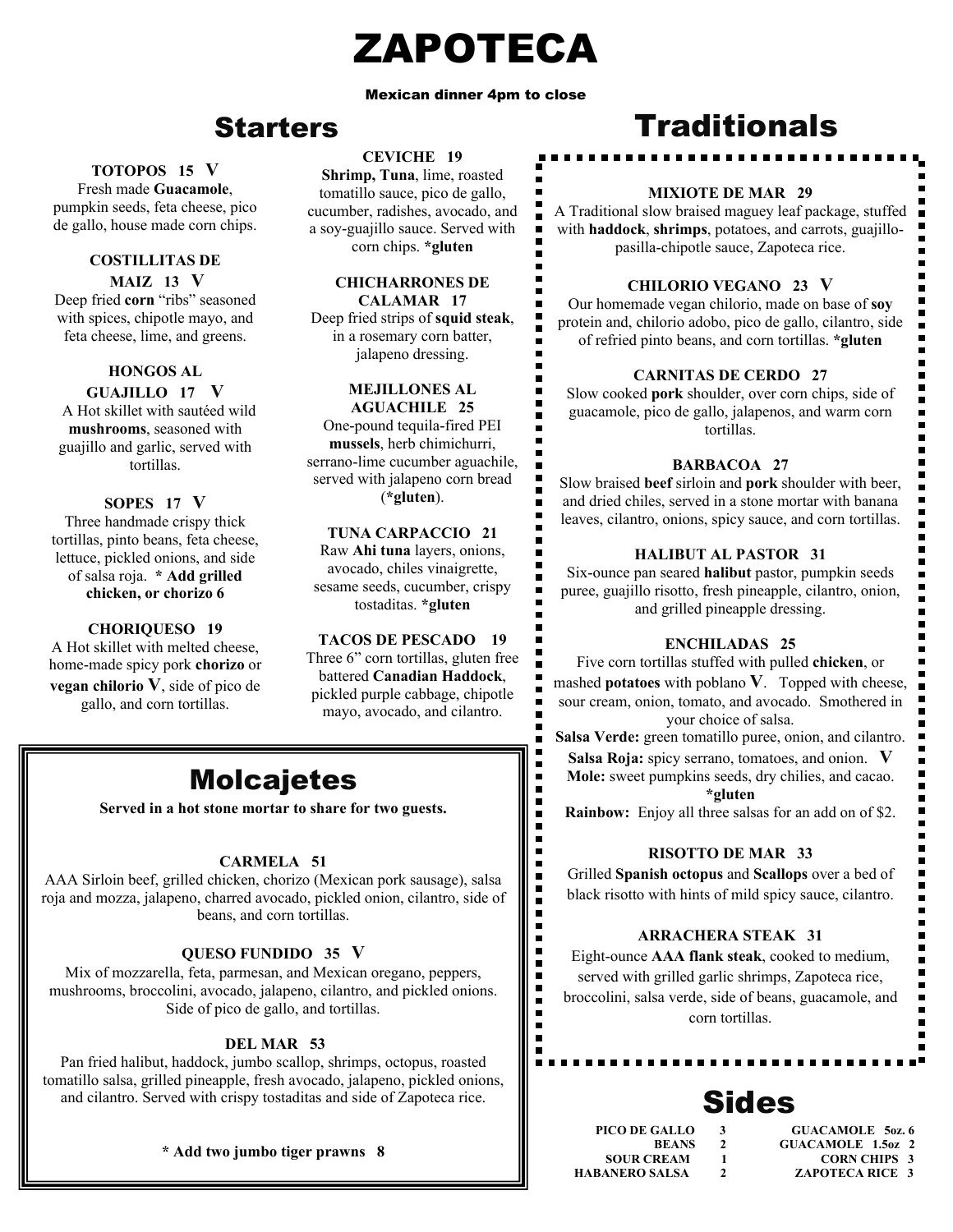## ZAPOTECA

#### Mexican dinner 4pm to close

## Starters

#### **TOTOPOS 15 V**

 pumpkin seeds, feta cheese, pico Fresh made **Guacamole**, de gallo, house made corn chips.

#### **COSTILLITAS DE MAIZ 13 V**

Deep fried **corn** "ribs" seasoned with spices, chipotle mayo, and feta cheese, lime, and greens.

#### **HONGOS AL**

#### **GUAJILLO 17 V**

A Hot skillet with sautéed wild **mushrooms**, seasoned with guajillo and garlic, served with tortillas.

#### **SOPES 17 V**

Three handmade crispy thick tortillas, pinto beans, feta cheese, lettuce, pickled onions, and side of salsa roja. **\* Add grilled chicken, or chorizo 6** 

#### **CHORIQUESO 19**

A Hot skillet with melted cheese, home-made spicy pork **chorizo** or **vegan chilorio V**, side of pico de gallo, and corn tortillas.

#### **CEVICHE 19**

**Shrimp, Tuna**, lime, roasted tomatillo sauce, pico de gallo, cucumber, radishes, avocado, and a soy-guajillo sauce. Served with corn chips. **\*gluten**

#### **CHICHARRONES DE CALAMAR 17**

Deep fried strips of **squid steak**, in a rosemary corn batter, jalapeno dressing.

#### **MEJILLONES AL**

**AGUACHILE 25** One-pound tequila-fired PEI **mussels**, herb chimichurri, serrano-lime cucumber aguachile, served with jalapeno corn bread (**\*gluten**).

#### **TUNA CARPACCIO 21**

Raw **Ahi tuna** layers, onions, avocado, chiles vinaigrette, sesame seeds, cucumber, crispy tostaditas. **\*gluten**

#### **TACOS DE PESCADO 19**

Three 6" corn tortillas, gluten free battered **Canadian Haddock**, pickled purple cabbage, chipotle mayo, avocado, and cilantro.

> $\blacksquare$  $\blacksquare$  $\blacksquare$  $\blacksquare$

> > п

 $\ddot{ }$ 

Ē  $\blacksquare$  $\blacksquare$ 

## Molcajetes

**Served in a hot stone mortar to share for two guests.** 

#### **CARMELA 51**

AAA Sirloin beef, grilled chicken, chorizo (Mexican pork sausage), salsa roja and mozza, jalapeno, charred avocado, pickled onion, cilantro, side of beans, and corn tortillas.

#### **QUESO FUNDIDO 35 V**

Mix of mozzarella, feta, parmesan, and Mexican oregano, peppers, mushrooms, broccolini, avocado, jalapeno, cilantro, and pickled onions. Side of pico de gallo, and tortillas.

#### **DEL MAR 53**

Pan fried halibut, haddock, jumbo scallop, shrimps, octopus, roasted tomatillo salsa, grilled pineapple, fresh avocado, jalapeno, pickled onions, and cilantro. Served with crispy tostaditas and side of Zapoteca rice.

#### **\* Add two jumbo tiger prawns 8**

## **Traditionals**

#### **MIXIOTE DE MAR 29**

A Traditional slow braised maguey leaf package, stuffed with **haddock**, **shrimps**, potatoes, and carrots, guajillopasilla-chipotle sauce, Zapoteca rice.

#### **CHILORIO VEGANO 23 V**

Our homemade vegan chilorio, made on base of **soy** protein and, chilorio adobo, pico de gallo, cilantro, side of refried pinto beans, and corn tortillas. **\*gluten** 

#### **CARNITAS DE CERDO 27**

Slow cooked **pork** shoulder, over corn chips, side of guacamole, pico de gallo, jalapenos, and warm corn tortillas.

#### **BARBACOA 27**

Slow braised **beef** sirloin and **pork** shoulder with beer, and dried chiles, served in a stone mortar with banana leaves, cilantro, onions, spicy sauce, and corn tortillas.

#### **HALIBUT AL PASTOR 31**

Six-ounce pan seared **halibut** pastor, pumpkin seeds puree, guajillo risotto, fresh pineapple, cilantro, onion, and grilled pineapple dressing.

#### **ENCHILADAS 25**

Five corn tortillas stuffed with pulled **chicken**, or mashed **potatoes** with poblano **V**. Topped with cheese, sour cream, onion, tomato, and avocado. Smothered in your choice of salsa.

**Salsa Verde:** green tomatillo puree, onion, and cilantro.

**Salsa Roja:** spicy serrano, tomatoes, and onion. **V Mole:** sweet pumpkins seeds, dry chilies, and cacao.

#### **\*gluten**

**Rainbow:** Enjoy all three salsas for an add on of \$2.

#### **RISOTTO DE MAR 33**

Grilled **Spanish octopus** and **Scallops** over a bed of black risotto with hints of mild spicy sauce, cilantro.

#### **ARRACHERA STEAK 31**

Eight-ounce **AAA flank steak**, cooked to medium, served with grilled garlic shrimps, Zapoteca rice, broccolini, salsa verde, side of beans, guacamole, and corn tortillas.

## Sides

 **PICO DE GALLO 3 GUACAMOLE 5oz. 6 BEANS** 2 **GUACAMOLE 1.5oz 2**<br>**SOUR CREAM** 1 **CORN CHIPS** 3 **SOUR CREAM 1 CORN CHIPS 3<br>
HABANERO SALSA 2 ZAPOTECA RICE 3 2 ZAPOTECA RICE 3** 

 $\overline{\phantom{a}}$ 

E  $\blacksquare$ 

 $\blacksquare$